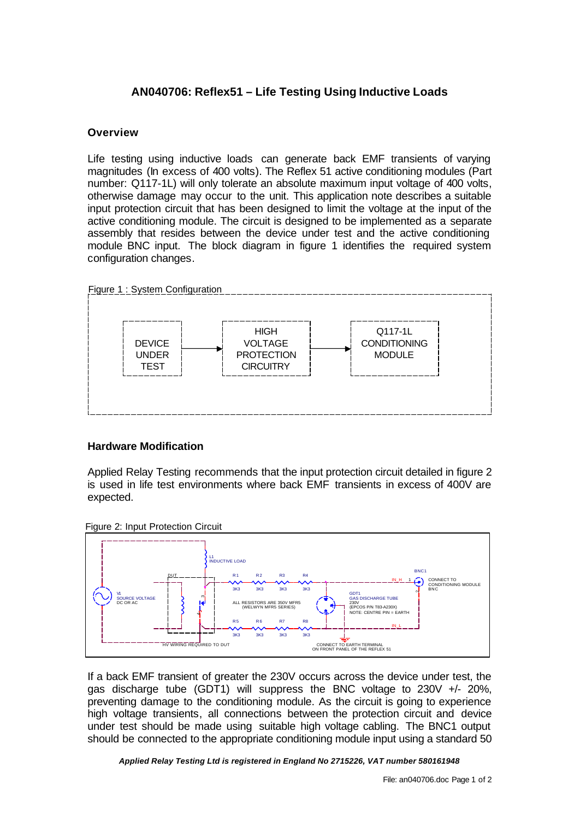# **AN040706: Reflex51 – Life Testing Using Inductive Loads**

## **Overview**

Life testing using inductive loads can generate back EMF transients of varying magnitudes (In excess of 400 volts). The Reflex 51 active conditioning modules (Part number: Q117-1L) will only tolerate an absolute maximum input voltage of 400 volts, otherwise damage may occur to the unit. This application note describes a suitable input protection circuit that has been designed to limit the voltage at the input of the active conditioning module. The circuit is designed to be implemented as a separate assembly that resides between the device under test and the active conditioning module BNC input. The block diagram in figure 1 identifies the required system configuration changes.



### **Hardware Modification**

Applied Relay Testing recommends that the input protection circuit detailed in figure 2 is used in life test environments where back EMF transients in excess of 400V are expected.





If a back EMF transient of greater the 230V occurs across the device under test, the gas discharge tube (GDT1) will suppress the BNC voltage to 230V +/- 20%, preventing damage to the conditioning module. As the circuit is going to experience high voltage transients, all connections between the protection circuit and device under test should be made using suitable high voltage cabling. The BNC1 output should be connected to the appropriate conditioning module input using a standard 50

*Applied Relay Testing Ltd is registered in England No 2715226, VAT number 580161948*